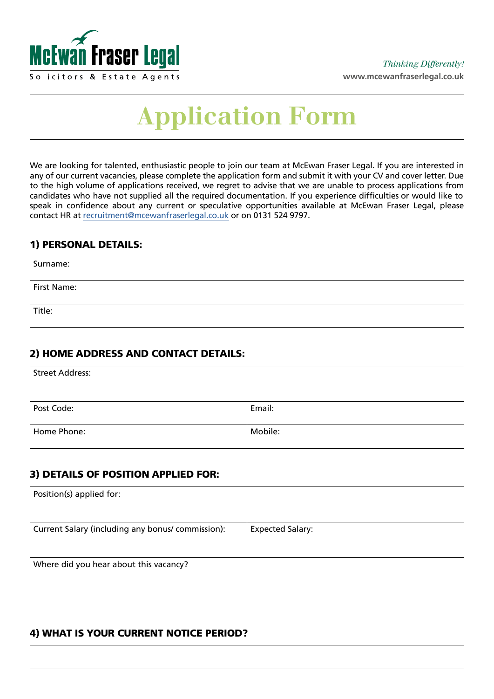

# **Application Form**

We are looking for talented, enthusiastic people to join our team at McEwan Fraser Legal. If you are interested in any of our current vacancies, please complete the application form and submit it with your CV and cover letter. Due to the high volume of applications received, we regret to advise that we are unable to process applications from candidates who have not supplied all the required documentation. If you experience difficulties or would like to speak in confidence about any current or speculative opportunities available at McEwan Fraser Legal, please contact HR at [recruitment@mcewanfraserlegal.co.uk](mailto:jenn%40mcewanfraserlegal.co.uk?subject=) or on 0131 524 9797.

#### 1) PERSONAL DETAILS:

| Surname:    |  |
|-------------|--|
| First Name: |  |
| Title:      |  |

# 2) HOME ADDRESS AND CONTACT DETAILS:

| Street Address: |         |  |
|-----------------|---------|--|
|                 |         |  |
| Post Code:      | Email:  |  |
| Home Phone:     | Mobile: |  |

#### 3) DETAILS OF POSITION APPLIED FOR:

| Position(s) applied for:                          |                         |
|---------------------------------------------------|-------------------------|
| Current Salary (including any bonus/ commission): | <b>Expected Salary:</b> |
| Where did you hear about this vacancy?            |                         |

# 4) WHAT IS YOUR CURRENT NOTICE PERIOD?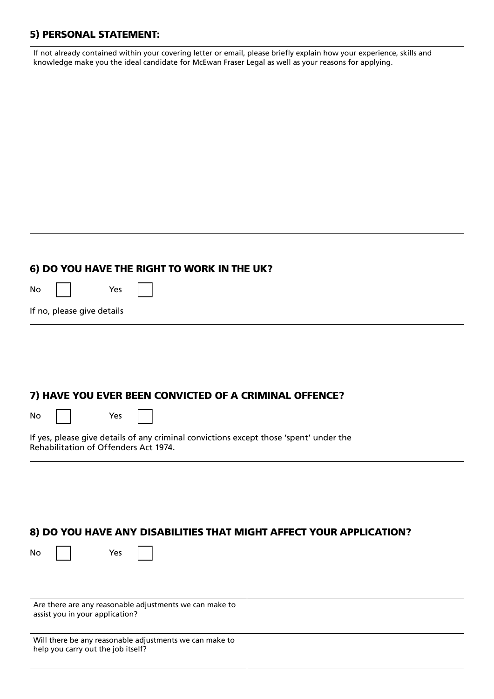# 5) PERSONAL STATEMENT:

| If not already contained within your covering letter or email, please briefly explain how your experience, skills and<br>knowledge make you the ideal candidate for McEwan Fraser Legal as well as your reasons for applying. |  |  |
|-------------------------------------------------------------------------------------------------------------------------------------------------------------------------------------------------------------------------------|--|--|
|                                                                                                                                                                                                                               |  |  |
|                                                                                                                                                                                                                               |  |  |
|                                                                                                                                                                                                                               |  |  |
|                                                                                                                                                                                                                               |  |  |
|                                                                                                                                                                                                                               |  |  |
|                                                                                                                                                                                                                               |  |  |
|                                                                                                                                                                                                                               |  |  |
|                                                                                                                                                                                                                               |  |  |

#### 6) DO YOU HAVE THE RIGHT TO WORK IN THE UK?

Yes

If no, please give details

# 7) HAVE YOU EVER BEEN CONVICTED OF A CRIMINAL OFFENCE?

No

Yes

If yes, please give details of any criminal convictions except those 'spent' under the Rehabilitation of Offenders Act 1974.

# 8) DO YOU HAVE ANY DISABILITIES THAT MIGHT AFFECT YOUR APPLICATION?

No Yes

| Are there are any reasonable adjustments we can make to<br>$\frac{1}{2}$ assist you in your application? |  |
|----------------------------------------------------------------------------------------------------------|--|
| Will there be any reasonable adjustments we can make to<br>help you carry out the job itself?            |  |